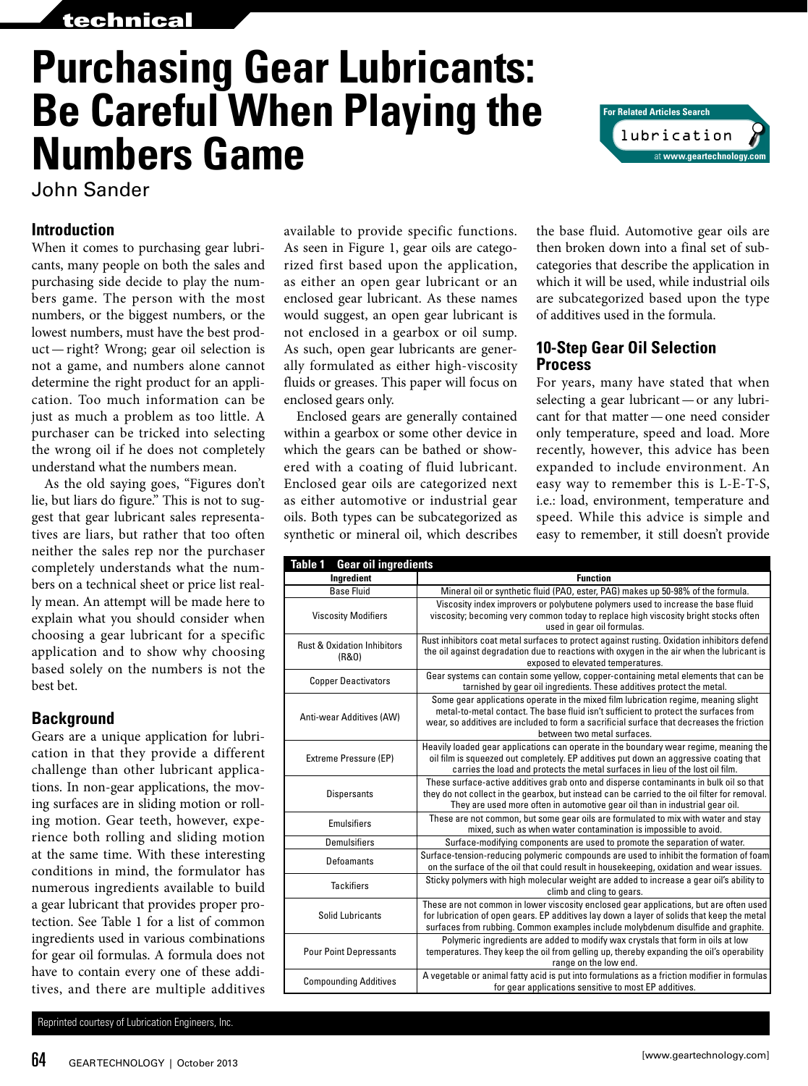## technical

# **Purchasing Gear Lubricants: Be Careful When Playing the Numbers Game**

John Sander

#### **Introduction**

When it comes to purchasing gear lubricants, many people on both the sales and purchasing side decide to play the numbers game. The person with the most numbers, or the biggest numbers, or the lowest numbers, must have the best product—right? Wrong; gear oil selection is not a game, and numbers alone cannot determine the right product for an application. Too much information can be just as much a problem as too little. A purchaser can be tricked into selecting the wrong oil if he does not completely understand what the numbers mean.

As the old saying goes, "Figures don't lie, but liars do figure." This is not to suggest that gear lubricant sales representatives are liars, but rather that too often neither the sales rep nor the purchaser completely understands what the numbers on a technical sheet or price list really mean. An attempt will be made here to explain what you should consider when choosing a gear lubricant for a specific application and to show why choosing based solely on the numbers is not the best bet.

### **Background**

Gears are a unique application for lubrication in that they provide a different challenge than other lubricant applications. In non-gear applications, the moving surfaces are in sliding motion or rolling motion. Gear teeth, however, experience both rolling and sliding motion at the same time. With these interesting conditions in mind, the formulator has numerous ingredients available to build a gear lubricant that provides proper protection. See Table 1 for a list of common ingredients used in various combinations for gear oil formulas. A formula does not have to contain every one of these additives, and there are multiple additives

Reprinted courtesy of Lubrication Engineers, Inc.

available to provide specific functions. As seen in Figure 1, gear oils are categorized first based upon the application, as either an open gear lubricant or an enclosed gear lubricant. As these names would suggest, an open gear lubricant is not enclosed in a gearbox or oil sump. As such, open gear lubricants are generally formulated as either high-viscosity fluids or greases. This paper will focus on enclosed gears only.

Enclosed gears are generally contained within a gearbox or some other device in which the gears can be bathed or showered with a coating of fluid lubricant. Enclosed gear oils are categorized next as either automotive or industrial gear oils. Both types can be subcategorized as synthetic or mineral oil, which describes

the base fluid. Automotive gear oils are then broken down into a final set of subcategories that describe the application in which it will be used, while industrial oils are subcategorized based upon the type of additives used in the formula.

#### **10-Step Gear Oil Selection Process**

For years, many have stated that when selecting a gear lubricant—or any lubricant for that matter—one need consider only temperature, speed and load. More recently, however, this advice has been expanded to include environment. An easy way to remember this is L-E-T-S, i.e.: load, environment, temperature and speed. While this advice is simple and easy to remember, it still doesn't provide

| <b>Table 1</b><br><b>Gear oil ingredients</b>   |                                                                                                                                                                                                                                                                                                         |  |  |
|-------------------------------------------------|---------------------------------------------------------------------------------------------------------------------------------------------------------------------------------------------------------------------------------------------------------------------------------------------------------|--|--|
| Ingredient                                      | <b>Function</b>                                                                                                                                                                                                                                                                                         |  |  |
| <b>Base Fluid</b>                               | Mineral oil or synthetic fluid (PAO, ester, PAG) makes up 50-98% of the formula.                                                                                                                                                                                                                        |  |  |
| <b>Viscosity Modifiers</b>                      | Viscosity index improvers or polybutene polymers used to increase the base fluid<br>viscosity; becoming very common today to replace high viscosity bright stocks often<br>used in gear oil formulas.                                                                                                   |  |  |
| <b>Rust &amp; Oxidation Inhibitors</b><br>(R&0) | Rust inhibitors coat metal surfaces to protect against rusting. Oxidation inhibitors defend<br>the oil against degradation due to reactions with oxygen in the air when the lubricant is<br>exposed to elevated temperatures.                                                                           |  |  |
| <b>Copper Deactivators</b>                      | Gear systems can contain some yellow, copper-containing metal elements that can be<br>tarnished by gear oil ingredients. These additives protect the metal.                                                                                                                                             |  |  |
| Anti-wear Additives (AW)                        | Some gear applications operate in the mixed film lubrication regime, meaning slight<br>metal-to-metal contact. The base fluid isn't sufficient to protect the surfaces from<br>wear, so additives are included to form a sacrificial surface that decreases the friction<br>between two metal surfaces. |  |  |
| <b>Extreme Pressure (EP)</b>                    | Heavily loaded gear applications can operate in the boundary wear regime, meaning the<br>oil film is squeezed out completely. EP additives put down an aggressive coating that<br>carries the load and protects the metal surfaces in lieu of the lost oil film.                                        |  |  |
| <b>Dispersants</b>                              | These surface-active additives grab onto and disperse contaminants in bulk oil so that<br>they do not collect in the gearbox, but instead can be carried to the oil filter for removal.<br>They are used more often in automotive gear oil than in industrial gear oil.                                 |  |  |
| <b>Emulsifiers</b>                              | These are not common, but some gear oils are formulated to mix with water and stay<br>mixed, such as when water contamination is impossible to avoid.                                                                                                                                                   |  |  |
| Demulsifiers                                    | Surface-modifying components are used to promote the separation of water.                                                                                                                                                                                                                               |  |  |
| Defoamants                                      | Surface-tension-reducing polymeric compounds are used to inhibit the formation of foam<br>on the surface of the oil that could result in housekeeping, oxidation and wear issues.                                                                                                                       |  |  |
| <b>Tackifiers</b>                               | Sticky polymers with high molecular weight are added to increase a gear oil's ability to<br>climb and cling to gears.                                                                                                                                                                                   |  |  |
| <b>Solid Lubricants</b>                         | These are not common in lower viscosity enclosed gear applications, but are often used<br>for lubrication of open gears. EP additives lay down a layer of solids that keep the metal<br>surfaces from rubbing. Common examples include molybdenum disulfide and graphite.                               |  |  |
| <b>Pour Point Depressants</b>                   | Polymeric ingredients are added to modify wax crystals that form in oils at low<br>temperatures. They keep the oil from gelling up, thereby expanding the oil's operability<br>range on the low end.                                                                                                    |  |  |
| <b>Compounding Additives</b>                    | A vegetable or animal fatty acid is put into formulations as a friction modifier in formulas<br>for gear applications sensitive to most EP additives.                                                                                                                                                   |  |  |

lubrication **For Related Articles Search** at **www.geartechnology.com**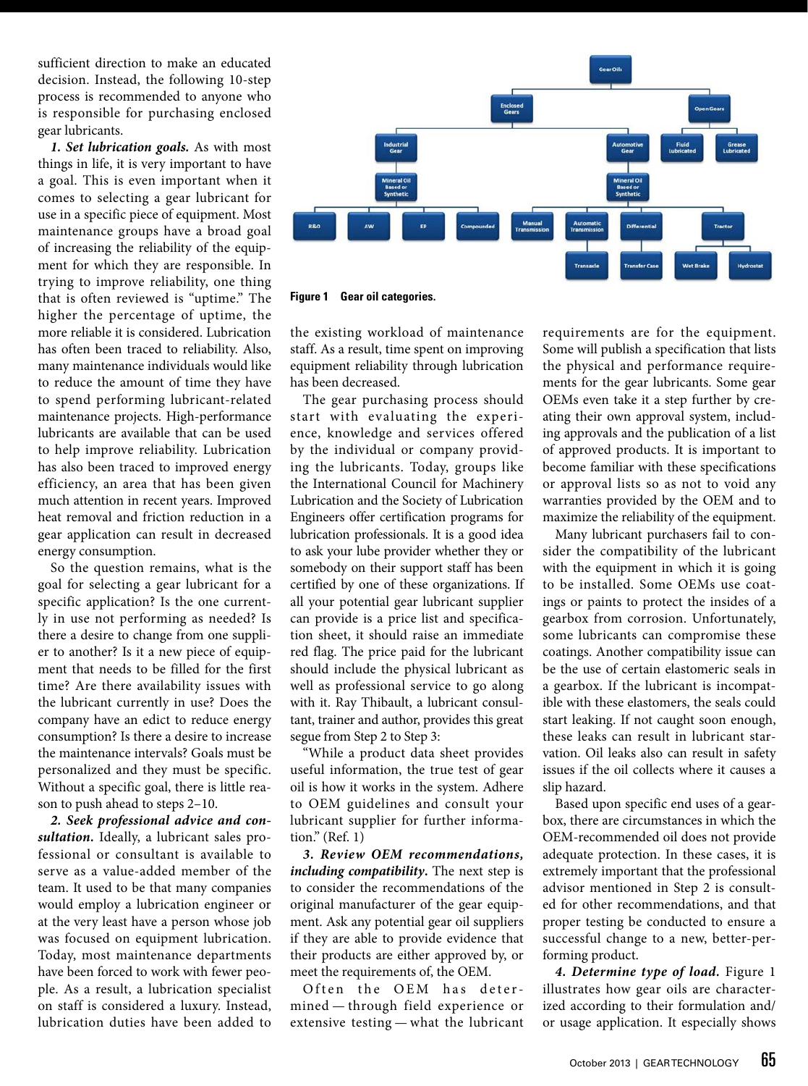sufficient direction to make an educated decision. Instead, the following 10-step process is recommended to anyone who is responsible for purchasing enclosed gear lubricants.

*1. Set lubrication goals.* As with most things in life, it is very important to have a goal. This is even important when it comes to selecting a gear lubricant for use in a specific piece of equipment. Most maintenance groups have a broad goal of increasing the reliability of the equipment for which they are responsible. In trying to improve reliability, one thing that is often reviewed is "uptime." The higher the percentage of uptime, the more reliable it is considered. Lubrication has often been traced to reliability. Also, many maintenance individuals would like to reduce the amount of time they have to spend performing lubricant-related maintenance projects. High-performance lubricants are available that can be used to help improve reliability. Lubrication has also been traced to improved energy efficiency, an area that has been given much attention in recent years. Improved heat removal and friction reduction in a gear application can result in decreased energy consumption.

So the question remains, what is the goal for selecting a gear lubricant for a specific application? Is the one currently in use not performing as needed? Is there a desire to change from one supplier to another? Is it a new piece of equipment that needs to be filled for the first time? Are there availability issues with the lubricant currently in use? Does the company have an edict to reduce energy consumption? Is there a desire to increase the maintenance intervals? Goals must be personalized and they must be specific. Without a specific goal, there is little reason to push ahead to steps 2–10.

*2. Seek professional advice and consultation.* Ideally, a lubricant sales professional or consultant is available to serve as a value-added member of the team. It used to be that many companies would employ a lubrication engineer or at the very least have a person whose job was focused on equipment lubrication. Today, most maintenance departments have been forced to work with fewer people. As a result, a lubrication specialist on staff is considered a luxury. Instead, lubrication duties have been added to



**Figure 1 Gear oil categories.**

the existing workload of maintenance staff. As a result, time spent on improving equipment reliability through lubrication has been decreased.

The gear purchasing process should start with evaluating the experience, knowledge and services offered by the individual or company providing the lubricants. Today, groups like the International Council for Machinery Lubrication and the Society of Lubrication Engineers offer certification programs for lubrication professionals. It is a good idea to ask your lube provider whether they or somebody on their support staff has been certified by one of these organizations. If all your potential gear lubricant supplier can provide is a price list and specification sheet, it should raise an immediate red flag. The price paid for the lubricant should include the physical lubricant as well as professional service to go along with it. Ray Thibault, a lubricant consultant, trainer and author, provides this great segue from Step 2 to Step 3:

"While a product data sheet provides useful information, the true test of gear oil is how it works in the system. Adhere to OEM guidelines and consult your lubricant supplier for further information." (Ref. 1)

*3. Review OEM recommendations, including compatibility***.** The next step is to consider the recommendations of the original manufacturer of the gear equipment. Ask any potential gear oil suppliers if they are able to provide evidence that their products are either approved by, or meet the requirements of, the OEM.

Often the OEM has determined — through field experience or extensive testing — what the lubricant requirements are for the equipment. Some will publish a specification that lists the physical and performance requirements for the gear lubricants. Some gear OEMs even take it a step further by creating their own approval system, including approvals and the publication of a list of approved products. It is important to become familiar with these specifications or approval lists so as not to void any warranties provided by the OEM and to maximize the reliability of the equipment.

Many lubricant purchasers fail to consider the compatibility of the lubricant with the equipment in which it is going to be installed. Some OEMs use coatings or paints to protect the insides of a gearbox from corrosion. Unfortunately, some lubricants can compromise these coatings. Another compatibility issue can be the use of certain elastomeric seals in a gearbox. If the lubricant is incompatible with these elastomers, the seals could start leaking. If not caught soon enough, these leaks can result in lubricant starvation. Oil leaks also can result in safety issues if the oil collects where it causes a slip hazard.

Based upon specific end uses of a gearbox, there are circumstances in which the OEM-recommended oil does not provide adequate protection. In these cases, it is extremely important that the professional advisor mentioned in Step 2 is consulted for other recommendations, and that proper testing be conducted to ensure a successful change to a new, better-performing product.

*4. Determine type of load.* Figure 1 illustrates how gear oils are characterized according to their formulation and/ or usage application. It especially shows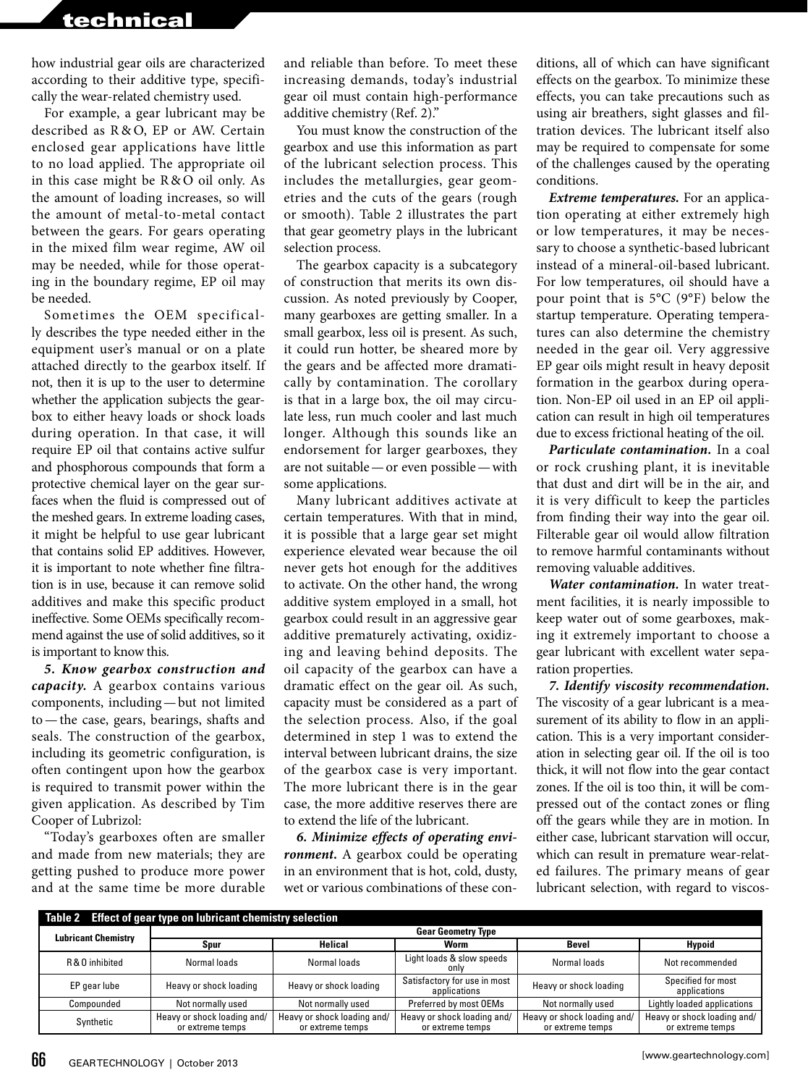# technical

how industrial gear oils are characterized according to their additive type, specifically the wear-related chemistry used.

For example, a gear lubricant may be described as R & O, EP or AW. Certain enclosed gear applications have little to no load applied. The appropriate oil in this case might be R&O oil only. As the amount of loading increases, so will the amount of metal-to-metal contact between the gears. For gears operating in the mixed film wear regime, AW oil may be needed, while for those operating in the boundary regime, EP oil may be needed.

Sometimes the OEM specifically describes the type needed either in the equipment user's manual or on a plate attached directly to the gearbox itself. If not, then it is up to the user to determine whether the application subjects the gearbox to either heavy loads or shock loads during operation. In that case, it will require EP oil that contains active sulfur and phosphorous compounds that form a protective chemical layer on the gear surfaces when the fluid is compressed out of the meshed gears. In extreme loading cases, it might be helpful to use gear lubricant that contains solid EP additives. However, it is important to note whether fine filtration is in use, because it can remove solid additives and make this specific product ineffective. Some OEMs specifically recommend against the use of solid additives, so it is important to know this.

*5. Know gearbox construction and capacity.* A gearbox contains various components, including—but not limited to—the case, gears, bearings, shafts and seals. The construction of the gearbox, including its geometric configuration, is often contingent upon how the gearbox is required to transmit power within the given application. As described by Tim Cooper of Lubrizol:

"Today's gearboxes often are smaller and made from new materials; they are getting pushed to produce more power and at the same time be more durable

and reliable than before. To meet these increasing demands, today's industrial gear oil must contain high-performance additive chemistry (Ref. 2)."

You must know the construction of the gearbox and use this information as part of the lubricant selection process. This includes the metallurgies, gear geometries and the cuts of the gears (rough or smooth). Table 2 illustrates the part that gear geometry plays in the lubricant selection process.

The gearbox capacity is a subcategory of construction that merits its own discussion. As noted previously by Cooper, many gearboxes are getting smaller. In a small gearbox, less oil is present. As such, it could run hotter, be sheared more by the gears and be affected more dramatically by contamination. The corollary is that in a large box, the oil may circulate less, run much cooler and last much longer. Although this sounds like an endorsement for larger gearboxes, they are not suitable—or even possible—with some applications.

Many lubricant additives activate at certain temperatures. With that in mind, it is possible that a large gear set might experience elevated wear because the oil never gets hot enough for the additives to activate. On the other hand, the wrong additive system employed in a small, hot gearbox could result in an aggressive gear additive prematurely activating, oxidizing and leaving behind deposits. The oil capacity of the gearbox can have a dramatic effect on the gear oil. As such, capacity must be considered as a part of the selection process. Also, if the goal determined in step 1 was to extend the interval between lubricant drains, the size of the gearbox case is very important. The more lubricant there is in the gear case, the more additive reserves there are to extend the life of the lubricant.

*6. Minimize effects of operating environment***.** A gearbox could be operating in an environment that is hot, cold, dusty, wet or various combinations of these conditions, all of which can have significant effects on the gearbox. To minimize these effects, you can take precautions such as using air breathers, sight glasses and filtration devices. The lubricant itself also may be required to compensate for some of the challenges caused by the operating conditions.

*Extreme temperatures.* For an application operating at either extremely high or low temperatures, it may be necessary to choose a synthetic-based lubricant instead of a mineral-oil-based lubricant. For low temperatures, oil should have a pour point that is 5°C (9°F) below the startup temperature. Operating temperatures can also determine the chemistry needed in the gear oil. Very aggressive EP gear oils might result in heavy deposit formation in the gearbox during operation. Non-EP oil used in an EP oil application can result in high oil temperatures due to excess frictional heating of the oil.

*Particulate contamination.* In a coal or rock crushing plant, it is inevitable that dust and dirt will be in the air, and it is very difficult to keep the particles from finding their way into the gear oil. Filterable gear oil would allow filtration to remove harmful contaminants without removing valuable additives.

*Water contamination.* In water treatment facilities, it is nearly impossible to keep water out of some gearboxes, making it extremely important to choose a gear lubricant with excellent water separation properties.

*7. Identify viscosity recommendation.*  The viscosity of a gear lubricant is a measurement of its ability to flow in an application. This is a very important consideration in selecting gear oil. If the oil is too thick, it will not flow into the gear contact zones. If the oil is too thin, it will be compressed out of the contact zones or fling off the gears while they are in motion. In either case, lubricant starvation will occur, which can result in premature wear-related failures. The primary means of gear lubricant selection, with regard to viscos-

|                            | Table 2 Effect of gear type on lubricant chemistry selection |                                                 |                                                 |                                                 |                                                 |  |
|----------------------------|--------------------------------------------------------------|-------------------------------------------------|-------------------------------------------------|-------------------------------------------------|-------------------------------------------------|--|
| <b>Lubricant Chemistry</b> | <b>Gear Geometry Type</b>                                    |                                                 |                                                 |                                                 |                                                 |  |
|                            | Spur                                                         | Helical                                         | Worm                                            | <b>Bevel</b>                                    | Hypoid                                          |  |
| R & O inhibited            | Normal loads                                                 | Normal loads                                    | Light loads & slow speeds<br>only               | Normal loads                                    | Not recommended                                 |  |
| EP gear lube               | Heavy or shock loading                                       | Heavy or shock loading                          | Satisfactory for use in most<br>applications    | Heavy or shock loading                          | Specified for most<br>applications              |  |
| Compounded                 | Not normally used                                            | Not normally used                               | Preferred by most OEMs                          | Not normally used                               | Lightly loaded applications                     |  |
| Synthetic                  | Heavy or shock loading and/<br>or extreme temps              | Heavy or shock loading and/<br>or extreme temps | Heavy or shock loading and/<br>or extreme temps | Heavy or shock loading and/<br>or extreme temps | Heavy or shock loading and/<br>or extreme temps |  |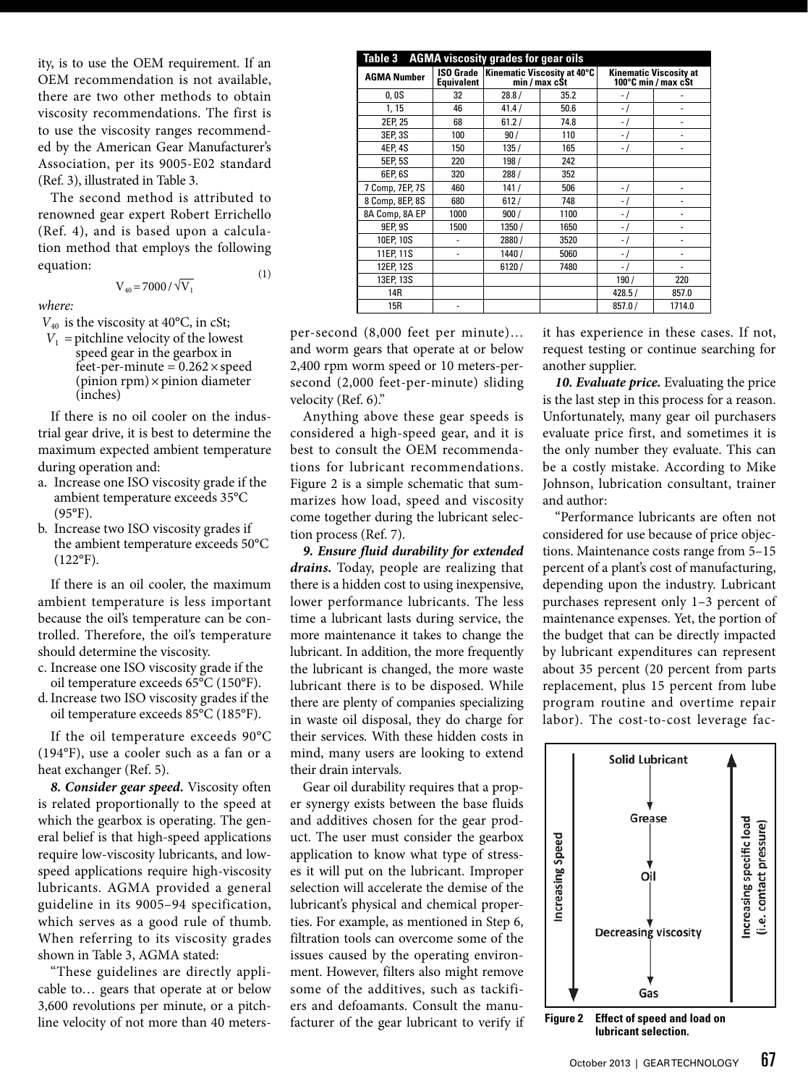ity, is to use the OEM requirement. If an OEM recommendation is not available, there are two other methods to obtain viscosity recommendations. The first is to use the viscosity ranges recommended by the American Gear Manufacturer's Association, per its 9005-E02 standard (Ref. 3), illustrated in Table 3.

The second method is attributed to renowned gear expert Robert Errichello (Ref. 4), and is based upon a calculation method that employs the following equation: (1)

$$
V_{40} = 7000 / \sqrt{V_1}
$$

*where:*

 $V_{40}$  is the viscosity at 40°C, in cSt;

 $V_1$  = pitchline velocity of the lowest speed gear in the gearbox in feet-per-minute =  $0.262 \times$  speed  $(pinion rpm) \times pinion diameter$ (inches)

If there is no oil cooler on the industrial gear drive, it is best to determine the maximum expected ambient temperature during operation and:

- a. Increase one ISO viscosity grade if the ambient temperature exceeds 35°C (95°F).
- b. Increase two ISO viscosity grades if the ambient temperature exceeds 50°C  $(122^{\circ}F)$ .

If there is an oil cooler, the maximum ambient temperature is less important because the oil's temperature can be controlled. Therefore, the oil's temperature should determine the viscosity.

- c. Increase one ISO viscosity grade if the oil temperature exceeds 65°C (150°F).
- d.Increase two ISO viscosity grades if the oil temperature exceeds 85°C (185°F).

If the oil temperature exceeds 90°C (194°F), use a cooler such as a fan or a heat exchanger (Ref. 5).

*8. Consider gear speed.* Viscosity often is related proportionally to the speed at which the gearbox is operating. The general belief is that high-speed applications require low-viscosity lubricants, and lowspeed applications require high-viscosity lubricants. AGMA provided a general guideline in its 9005–94 specification, which serves as a good rule of thumb. When referring to its viscosity grades shown in Table 3, AGMA stated:

"These guidelines are directly applicable to… gears that operate at or below 3,600 revolutions per minute, or a pitchline velocity of not more than 40 meters-

| Table 3 AGMA viscosity grades for gear oils |                   |                                                             |      |                                                      |        |  |
|---------------------------------------------|-------------------|-------------------------------------------------------------|------|------------------------------------------------------|--------|--|
| <b>AGMA Number</b>                          | <b>Equivalent</b> | ISO Grade   Kinematic Viscosity at 40°C  <br>min / max c\$t |      | <b>Kinematic Viscosity at</b><br>100°C min / max cSt |        |  |
| 0,0S                                        | 32                | 28.8/                                                       | 35.2 | - 1                                                  |        |  |
| 1, 15                                       | 46                | 41.4/                                                       | 50.6 | $\overline{a}$                                       |        |  |
| 2EP, 25                                     | 68                | 61.2/                                                       | 74.8 | $\overline{\phantom{a}}$                             |        |  |
| 3EP, 3S                                     | 100               | 90/                                                         | 110  | - 1                                                  |        |  |
| 4EP, 4S                                     | 150               | 135/                                                        | 165  | - 1                                                  |        |  |
| 5EP.5S                                      | 220               | 198/                                                        | 242  |                                                      |        |  |
| 6EP, 6S                                     | 320               | 288/                                                        | 352  |                                                      |        |  |
| 7 Comp, 7EP, 7S                             | 460               | 141/                                                        | 506  | $\overline{a}$                                       |        |  |
| 8 Comp, 8EP, 8S                             | 680               | 612/                                                        | 748  | ٠.                                                   |        |  |
| 8A Comp, 8A EP                              | 1000              | 900/                                                        | 1100 | ۰                                                    |        |  |
| 9EP, 9S                                     | 1500              | 1350/                                                       | 1650 | $-1$                                                 |        |  |
| 10EP, 10S                                   |                   | 2880 /                                                      | 3520 | $\overline{a}$                                       |        |  |
| 11EP, 11S                                   |                   | 1440/                                                       | 5060 | $\overline{\phantom{a}}$                             |        |  |
| 12EP, 12S                                   |                   | 6120/                                                       | 7480 | ٠,                                                   |        |  |
| 13EP, 13S                                   |                   |                                                             |      | 190/                                                 | 220    |  |
| 14R                                         |                   |                                                             |      | 428.5/                                               | 857.0  |  |
| 15R                                         |                   |                                                             |      | 857.0/                                               | 1714.0 |  |

per-second (8,000 feet per minute)… and worm gears that operate at or below 2,400 rpm worm speed or 10 meters-persecond (2,000 feet-per-minute) sliding velocity (Ref. 6)."

Anything above these gear speeds is considered a high-speed gear, and it is best to consult the OEM recommendations for lubricant recommendations. Figure 2 is a simple schematic that summarizes how load, speed and viscosity come together during the lubricant selection process (Ref. 7).

*9. Ensure fluid durability for extended drains.* Today, people are realizing that there is a hidden cost to using inexpensive, lower performance lubricants. The less time a lubricant lasts during service, the more maintenance it takes to change the lubricant. In addition, the more frequently the lubricant is changed, the more waste lubricant there is to be disposed. While there are plenty of companies specializing in waste oil disposal, they do charge for their services. With these hidden costs in mind, many users are looking to extend their drain intervals.

Gear oil durability requires that a proper synergy exists between the base fluids and additives chosen for the gear product. The user must consider the gearbox application to know what type of stresses it will put on the lubricant. Improper selection will accelerate the demise of the lubricant's physical and chemical properties. For example, as mentioned in Step 6, filtration tools can overcome some of the issues caused by the operating environment. However, filters also might remove some of the additives, such as tackifiers and defoamants. Consult the manufacturer of the gear lubricant to verify if

it has experience in these cases. If not, request testing or continue searching for another supplier.

10. Evaluate price. Evaluating the price is the last step in this process for a reason. Unfortunately, many gear oil purchasers evaluate price first, and sometimes it is the only number they evaluate. This can be a costly mistake. According to Mike Johnson, lubrication consultant, trainer and author:

"Performance lubricants are often not considered for use because of price objections. Maintenance costs range from 5–15 percent of a plant's cost of manufacturing, depending upon the industry. Lubricant purchases represent only 1–3 percent of maintenance expenses. Yet, the portion of the budget that can be directly impacted by lubricant expenditures can represent about 35 percent (20 percent from parts replacement, plus 15 percent from lube program routine and overtime repair labor). The cost-to-cost leverage fac-



**Figure 2 Effect of speed and load on lubricant selection.**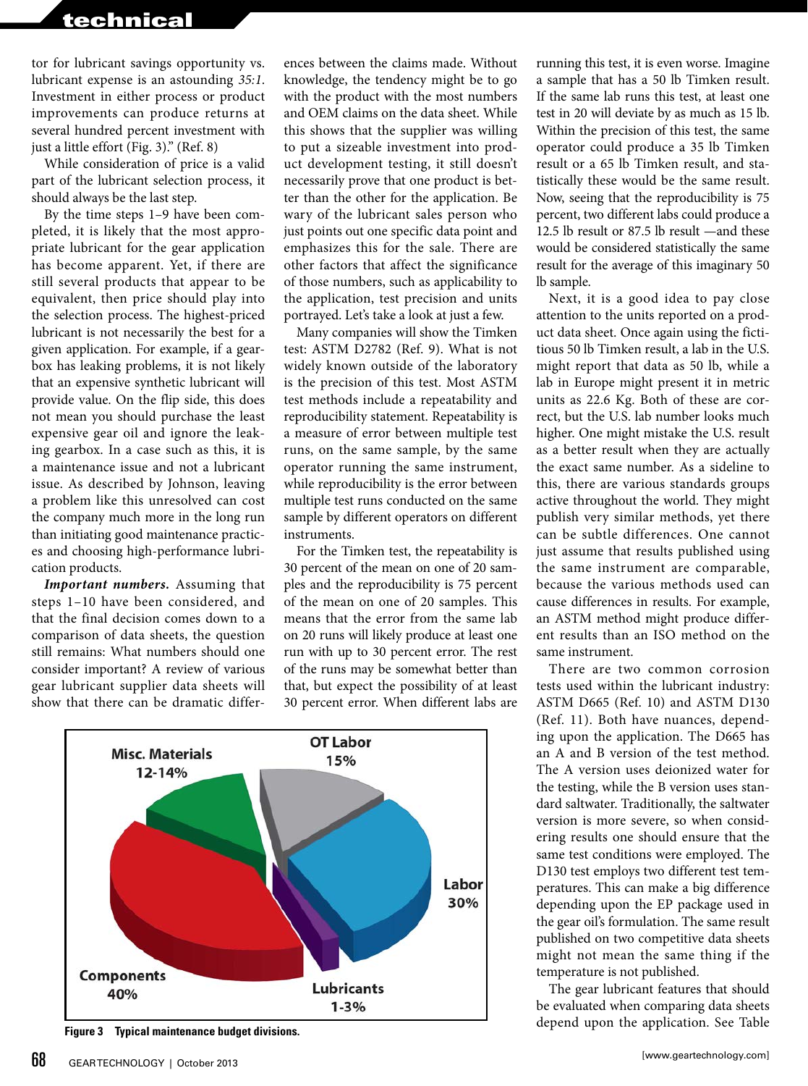tor for lubricant savings opportunity vs. lubricant expense is an astounding *35:1*. Investment in either process or product improvements can produce returns at several hundred percent investment with just a little effort (Fig. 3)." (Ref. 8)

While consideration of price is a valid part of the lubricant selection process, it should always be the last step.

By the time steps 1–9 have been completed, it is likely that the most appropriate lubricant for the gear application has become apparent. Yet, if there are still several products that appear to be equivalent, then price should play into the selection process. The highest-priced lubricant is not necessarily the best for a given application. For example, if a gearbox has leaking problems, it is not likely that an expensive synthetic lubricant will provide value. On the flip side, this does not mean you should purchase the least expensive gear oil and ignore the leaking gearbox. In a case such as this, it is a maintenance issue and not a lubricant issue. As described by Johnson, leaving a problem like this unresolved can cost the company much more in the long run than initiating good maintenance practices and choosing high-performance lubrication products.

*Important numbers.* Assuming that steps 1–10 have been considered, and that the final decision comes down to a comparison of data sheets, the question still remains: What numbers should one consider important? A review of various gear lubricant supplier data sheets will show that there can be dramatic differences between the claims made. Without knowledge, the tendency might be to go with the product with the most numbers and OEM claims on the data sheet. While this shows that the supplier was willing to put a sizeable investment into product development testing, it still doesn't necessarily prove that one product is better than the other for the application. Be wary of the lubricant sales person who just points out one specific data point and emphasizes this for the sale. There are other factors that affect the significance of those numbers, such as applicability to the application, test precision and units portrayed. Let's take a look at just a few.

Many companies will show the Timken test: ASTM D2782 (Ref. 9). What is not widely known outside of the laboratory is the precision of this test. Most ASTM test methods include a repeatability and reproducibility statement. Repeatability is a measure of error between multiple test runs, on the same sample, by the same operator running the same instrument, while reproducibility is the error between multiple test runs conducted on the same sample by different operators on different instruments.

For the Timken test, the repeatability is 30 percent of the mean on one of 20 samples and the reproducibility is 75 percent of the mean on one of 20 samples. This means that the error from the same lab on 20 runs will likely produce at least one run with up to 30 percent error. The rest of the runs may be somewhat better than that, but expect the possibility of at least 30 percent error. When different labs are



running this test, it is even worse. Imagine a sample that has a 50 lb Timken result. If the same lab runs this test, at least one test in 20 will deviate by as much as 15 lb. Within the precision of this test, the same operator could produce a 35 lb Timken result or a 65 lb Timken result, and statistically these would be the same result. Now, seeing that the reproducibility is 75 percent, two different labs could produce a 12.5 lb result or 87.5 lb result —and these would be considered statistically the same result for the average of this imaginary 50 lb sample.

Next, it is a good idea to pay close attention to the units reported on a product data sheet. Once again using the fictitious 50 lb Timken result, a lab in the U.S. might report that data as 50 lb, while a lab in Europe might present it in metric units as 22.6 Kg. Both of these are correct, but the U.S. lab number looks much higher. One might mistake the U.S. result as a better result when they are actually the exact same number. As a sideline to this, there are various standards groups active throughout the world. They might publish very similar methods, yet there can be subtle differences. One cannot just assume that results published using the same instrument are comparable, because the various methods used can cause differences in results. For example, an ASTM method might produce different results than an ISO method on the same instrument.

There are two common corrosion tests used within the lubricant industry: ASTM D665 (Ref. 10) and ASTM D130 (Ref. 11). Both have nuances, depending upon the application. The D665 has an A and B version of the test method. The A version uses deionized water for the testing, while the B version uses standard saltwater. Traditionally, the saltwater version is more severe, so when considering results one should ensure that the same test conditions were employed. The D130 test employs two different test temperatures. This can make a big difference depending upon the EP package used in the gear oil's formulation. The same result published on two competitive data sheets might not mean the same thing if the temperature is not published.

The gear lubricant features that should be evaluated when comparing data sheets